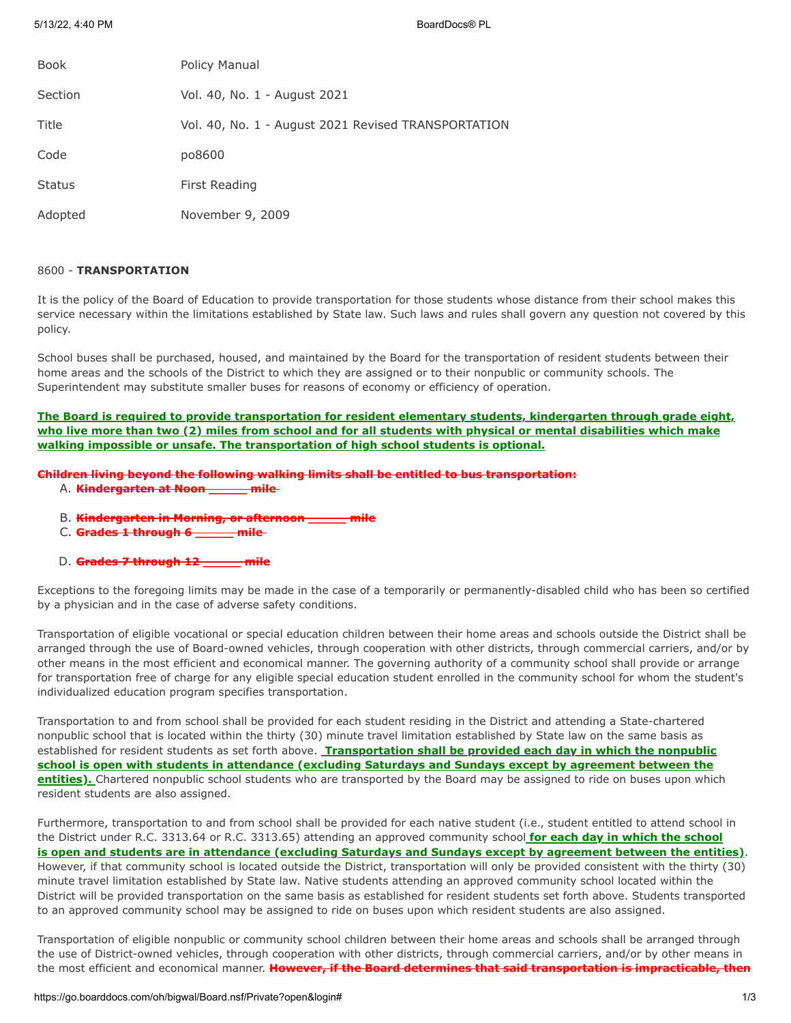| <b>Book</b>   | Policy Manual                                       |
|---------------|-----------------------------------------------------|
| Section       | Vol. 40, No. 1 - August 2021                        |
| Title         | Vol. 40, No. 1 - August 2021 Revised TRANSPORTATION |
| Code          | po8600                                              |
| <b>Status</b> | First Reading                                       |
| Adopted       | November 9, 2009                                    |

# 8600 - **TRANSPORTATION**

It is the policy of the Board of Education to provide transportation for those students whose distance from their school makes this service necessary within the limitations established by State law. Such laws and rules shall govern any question not covered by this policy.

School buses shall be purchased, housed, and maintained by the Board for the transportation of resident students between their home areas and the schools of the District to which they are assigned or to their nonpublic or community schools. The Superintendent may substitute smaller buses for reasons of economy or efficiency of operation.

**The Board is required to provide transportation for resident elementary students, kindergarten through grade eight, who live more than two (2) miles from school and for all students with physical or mental disabilities which make walking impossible or unsafe. The transportation of high school students is optional.**

**Children living beyond the following walking limits shall be entitled to bus transportation:**

- A. **Kindergarten at Noon \_\_\_\_\_ mile**
- B. **Kindergarten in Morning, or afternoon \_\_\_\_\_ mile**
- C. **Grades 1 through 6 \_\_\_\_\_ mile**
- D. **Grades 7 through 12 \_\_\_\_\_ mile**

Exceptions to the foregoing limits may be made in the case of a temporarily or permanently-disabled child who has been so certified by a physician and in the case of adverse safety conditions.

Transportation of eligible vocational or special education children between their home areas and schools outside the District shall be arranged through the use of Board-owned vehicles, through cooperation with other districts, through commercial carriers, and/or by other means in the most efficient and economical manner. The governing authority of a community school shall provide or arrange for transportation free of charge for any eligible special education student enrolled in the community school for whom the student's individualized education program specifies transportation.

Transportation to and from school shall be provided for each student residing in the District and attending a State-chartered nonpublic school that is located within the thirty (30) minute travel limitation established by State law on the same basis as established for resident students as set forth above. **Transportation shall be provided each day in which the nonpublic school is open with students in attendance (excluding Saturdays and Sundays except by agreement between the entities).** Chartered nonpublic school students who are transported by the Board may be assigned to ride on buses upon which resident students are also assigned.

Furthermore, transportation to and from school shall be provided for each native student (i.e., student entitled to attend school in the District under R.C. 3313.64 or R.C. 3313.65) attending an approved community school **for each day in which the school is open and students are in attendance (excluding Saturdays and Sundays except by agreement between the entities)**. However, if that community school is located outside the District, transportation will only be provided consistent with the thirty (30) minute travel limitation established by State law. Native students attending an approved community school located within the District will be provided transportation on the same basis as established for resident students set forth above. Students transported to an approved community school may be assigned to ride on buses upon which resident students are also assigned.

Transportation of eligible nonpublic or community school children between their home areas and schools shall be arranged through the use of District-owned vehicles, through cooperation with other districts, through commercial carriers, and/or by other means in the most efficient and economical manner. **However, if the Board determines that said transportation is impracticable, then**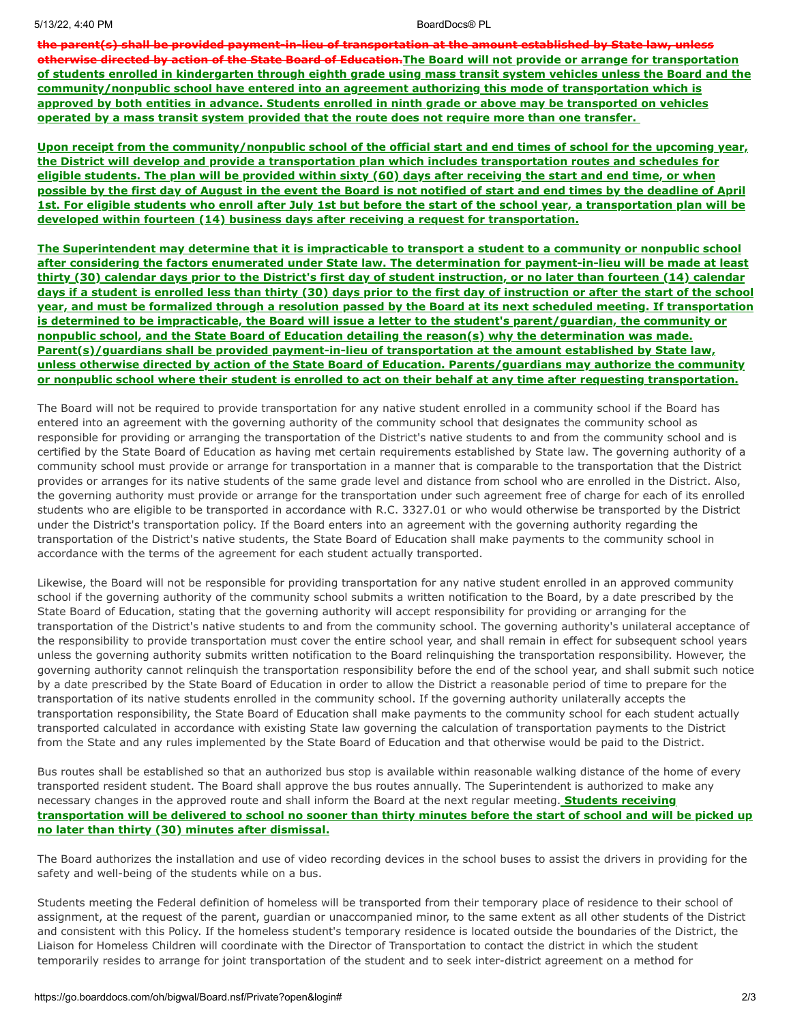5/13/22, 4:40 PM BoardDocs® PL

**the parent(s) shall be provided payment-in-lieu of transportation at the amount established by State law, unless otherwise directed by action of the State Board of Education.The Board will not provide or arrange for transportation of students enrolled in kindergarten through eighth grade using mass transit system vehicles unless the Board and the community/nonpublic school have entered into an agreement authorizing this mode of transportation which is approved by both entities in advance. Students enrolled in ninth grade or above may be transported on vehicles operated by a mass transit system provided that the route does not require more than one transfer.**

**Upon receipt from the community/nonpublic school of the official start and end times of school for the upcoming year, the District will develop and provide a transportation plan which includes transportation routes and schedules for eligible students. The plan will be provided within sixty (60) days after receiving the start and end time, or when possible by the first day of August in the event the Board is not notified of start and end times by the deadline of April 1st. For eligible students who enroll after July 1st but before the start of the school year, a transportation plan will be developed within fourteen (14) business days after receiving a request for transportation.**

**The Superintendent may determine that it is impracticable to transport a student to a community or nonpublic school after considering the factors enumerated under State law. The determination for payment-in-lieu will be made at least thirty (30) calendar days prior to the District's first day of student instruction, or no later than fourteen (14) calendar days if a student is enrolled less than thirty (30) days prior to the first day of instruction or after the start of the school year, and must be formalized through a resolution passed by the Board at its next scheduled meeting. If transportation is determined to be impracticable, the Board will issue a letter to the student's parent/guardian, the community or nonpublic school, and the State Board of Education detailing the reason(s) why the determination was made. Parent(s)/guardians shall be provided payment-in-lieu of transportation at the amount established by State law, unless otherwise directed by action of the State Board of Education. Parents/guardians may authorize the community or nonpublic school where their student is enrolled to act on their behalf at any time after requesting transportation.**

The Board will not be required to provide transportation for any native student enrolled in a community school if the Board has entered into an agreement with the governing authority of the community school that designates the community school as responsible for providing or arranging the transportation of the District's native students to and from the community school and is certified by the State Board of Education as having met certain requirements established by State law. The governing authority of a community school must provide or arrange for transportation in a manner that is comparable to the transportation that the District provides or arranges for its native students of the same grade level and distance from school who are enrolled in the District. Also, the governing authority must provide or arrange for the transportation under such agreement free of charge for each of its enrolled students who are eligible to be transported in accordance with R.C. 3327.01 or who would otherwise be transported by the District under the District's transportation policy. If the Board enters into an agreement with the governing authority regarding the transportation of the District's native students, the State Board of Education shall make payments to the community school in accordance with the terms of the agreement for each student actually transported.

Likewise, the Board will not be responsible for providing transportation for any native student enrolled in an approved community school if the governing authority of the community school submits a written notification to the Board, by a date prescribed by the State Board of Education, stating that the governing authority will accept responsibility for providing or arranging for the transportation of the District's native students to and from the community school. The governing authority's unilateral acceptance of the responsibility to provide transportation must cover the entire school year, and shall remain in effect for subsequent school years unless the governing authority submits written notification to the Board relinquishing the transportation responsibility. However, the governing authority cannot relinquish the transportation responsibility before the end of the school year, and shall submit such notice by a date prescribed by the State Board of Education in order to allow the District a reasonable period of time to prepare for the transportation of its native students enrolled in the community school. If the governing authority unilaterally accepts the transportation responsibility, the State Board of Education shall make payments to the community school for each student actually transported calculated in accordance with existing State law governing the calculation of transportation payments to the District from the State and any rules implemented by the State Board of Education and that otherwise would be paid to the District.

Bus routes shall be established so that an authorized bus stop is available within reasonable walking distance of the home of every transported resident student. The Board shall approve the bus routes annually. The Superintendent is authorized to make any necessary changes in the approved route and shall inform the Board at the next regular meeting. **Students receiving transportation will be delivered to school no sooner than thirty minutes before the start of school and will be picked up no later than thirty (30) minutes after dismissal.**

The Board authorizes the installation and use of video recording devices in the school buses to assist the drivers in providing for the safety and well-being of the students while on a bus.

Students meeting the Federal definition of homeless will be transported from their temporary place of residence to their school of assignment, at the request of the parent, guardian or unaccompanied minor, to the same extent as all other students of the District and consistent with this Policy. If the homeless student's temporary residence is located outside the boundaries of the District, the Liaison for Homeless Children will coordinate with the Director of Transportation to contact the district in which the student temporarily resides to arrange for joint transportation of the student and to seek inter-district agreement on a method for